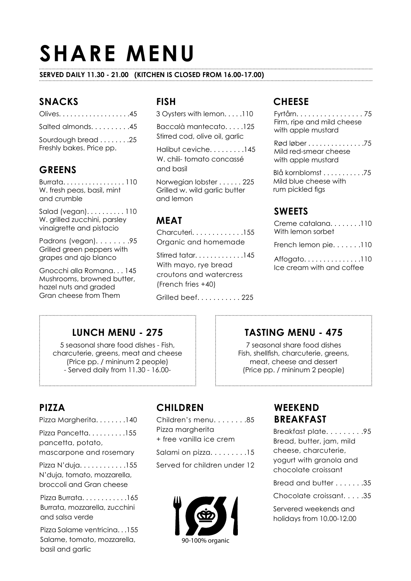# **SHARE MENU**

#### **SERVED DAILY 11.30 - 21.00 (KITCHEN IS CLOSED FROM 16.00-17.00)**

### **SNACKS**

| Olives45                                       |
|------------------------------------------------|
| Salted almonds45                               |
| Sourdough bread 25<br>Freshly bakes. Price pp. |

#### **GREENS**

Burrata. . . . . . . . . . . . . . . . . 110 W. fresh peas, basil, mint and crumble

Salad (vegan). . . . . . . . . . 110 W. grilled zucchini, parsley vinaigrette and pistacio

Padrons (vegan). . . . . . . .95 Grilled green peppers with grapes and ajo blanco

Gnocchi alla Romana. . . 145 Mushrooms, browned butter, hazel nuts and graded Gran cheese from Them

#### **FISH**

3 Oysters with lemon. . . . .110

Baccalà mantecato 125 Stirred cod, olive oil, garlic

Halibut ceviche. . . . . . . . .145 W. chili- tomato concassé and basil

Norwegian lobster . . . . . . 225 Grilled w. wild garlic butter and lemon

#### **MEAT**

Charcuteri. . . . . . . . . . . . .155 Organic and homemade

Stirred tatar. . . . . . . . . . . . .145 With mayo, rye bread croutons and watercress (French fries +40)

Grilled beef. . . . . . . . . . . 225

#### **CHEESE**

Fyrtårn. . . . . . . . . . . . . . . . . 75 Firm, ripe and mild cheese with apple mustard

Rød løber . . . . . . . . . . . . . . .75 Mild red-smear cheese with apple mustard

Blå kornblomst . . . . . . . . . . .75 Mild blue cheese with rum pickled figs

#### **SWEETS**

Creme catalana. . . . . . . .110 With lemon sorbet

French lemon pie. . . . . . .110

Affogato. . . . . . . . . . . . . . .110 Ice cream with and coffee

### **LUNCH MENU - 275**

5 seasonal share food dishes - Fish, charcuterie, greens, meat and cheese (Price pp. / mininum 2 people) - Served daily from 11.30 - 16.00-

#### **TASTING MENU - 475**

7 seasonal share food dishes Fish, shellfish, charcuterie, greens, meat, cheese and dessert (Price pp. / mininum 2 people)

## **PIZZA**

Pizza Margherita. . . . . . . .140

Pizza Pancetta. . . . . . . . . . 155 pancetta, potato, mascarpone and rosemary

Pizza N'duja. . . . . . . . . . . .155 N'duja, tomato, mozzarella, broccoli and Gran cheese

Pizza Burrata. . . . . . . . . . . .165 Burrata, mozzarella, zucchini and salsa verde

Pizza Salame ventricina. . .155 Salame, tomato, mozzarella, basil and garlic

## **CHILDREN**

Children's menu. . . . . . . .85 Pizza margherita + free vanilla ice crem

Salami on pizza. . . . . . . . .15

Served for children under 12



## **WEEKEND BREAKFAST**

Breakfast plate. . . . . . . . .95 Bread, butter, jam, mild cheese, charcuterie, yogurt with granola and chocolate croissant

Bread and butter . . . . . . .35

Chocolate croissant. . . . .35

Servered weekends and holidays from 10.00-12.00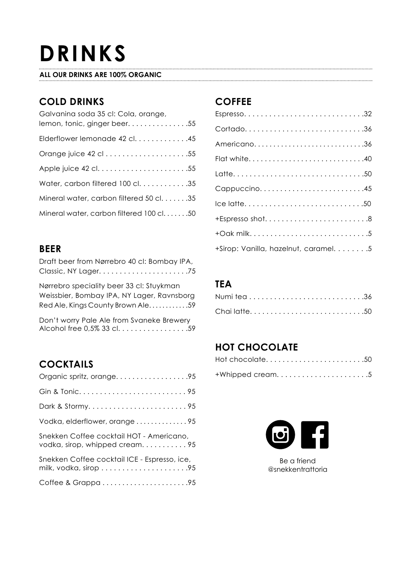## **DRINKS**

#### **ALL OUR DRINKS ARE 100% ORGANIC**

## **COLD DRINKS**

| Galvanina soda 35 cl: Cola, orange,<br>lemon, tonic, ginger beer. 55 |
|----------------------------------------------------------------------|
| Elderflower lemonade 42 cl. 45                                       |
|                                                                      |
|                                                                      |
| Water, carbon filtered 100 cl. 35                                    |
| Mineral water, carbon filtered 50 cl35                               |
| Mineral water, carbon filtered 100 cl50                              |

#### **BEER**

| Draft beer from Nørrebro 40 cl: Bombay IPA, |
|---------------------------------------------|
|                                             |
| Nørrebro speciality beer 33 cl: Stuykman    |
| Weissbier, Bombay IPA, NY Lager, Ravnsborg  |
| Red Ale, Kings County Brown Ale59           |
|                                             |

Don't worry Pale Ale from Svaneke Brewery Alcohol free 0,5% 33 cl. . . . . . . . . . . . . . . . . . 59

### **COCKTAILS**

| Organic spritz, orange95                                                    |
|-----------------------------------------------------------------------------|
|                                                                             |
|                                                                             |
| Vodka, elderflower, orange 95                                               |
| Snekken Coffee cocktail HOT - Americano,<br>vodka, sirop, whipped cream. 95 |
| Snekken Coffee cocktail ICE - Espresso, ice,                                |
| Coffee & Grappa95                                                           |

## **COFFEE**

| Cortado36                           |
|-------------------------------------|
| Americano36                         |
| Flat white40                        |
|                                     |
| Cappuccino45                        |
| Ice latte50                         |
| $+$ Espresso shot8                  |
|                                     |
| +Sirop: Vanilla, hazelnut, caramel5 |

## **TEA**

| Chailatte50 |  |  |  |  |  |  |  |  |  |  |  |
|-------------|--|--|--|--|--|--|--|--|--|--|--|

## **HOT CHOCOLATE**

| Hot chocolate50 |  |  |  |
|-----------------|--|--|--|
| +Whipped cream5 |  |  |  |



Be a friend @snekkentrattoria